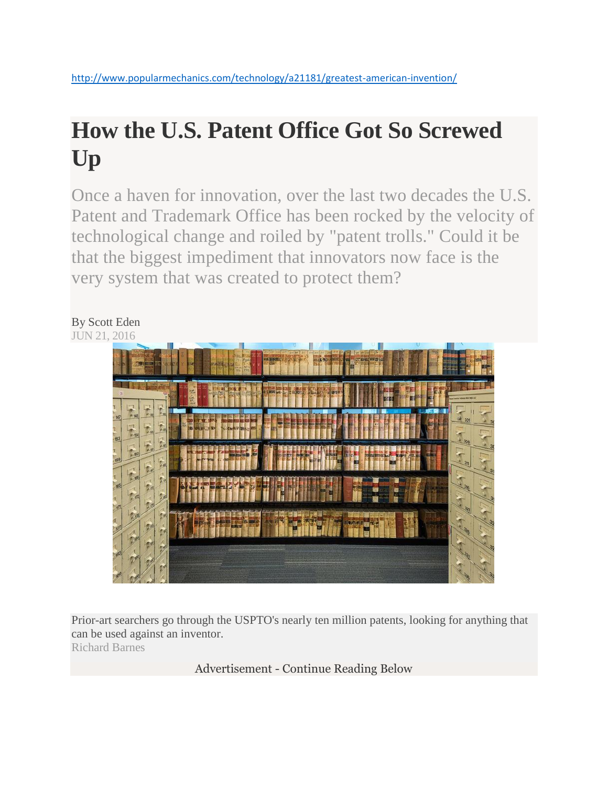# **How the U.S. Patent Office Got So Screwed Up**

Once a haven for innovation, over the last two decades the U.S. Patent and Trademark Office has been rocked by the velocity of technological change and roiled by "patent trolls." Could it be that the biggest impediment that innovators now face is the very system that was created to protect them?

# By Scott Eden JUN 21, 2016

Prior-art searchers go through the USPTO's nearly ten million patents, looking for anything that can be used against an inventor. Richard Barnes

Advertisement - Continue Reading Below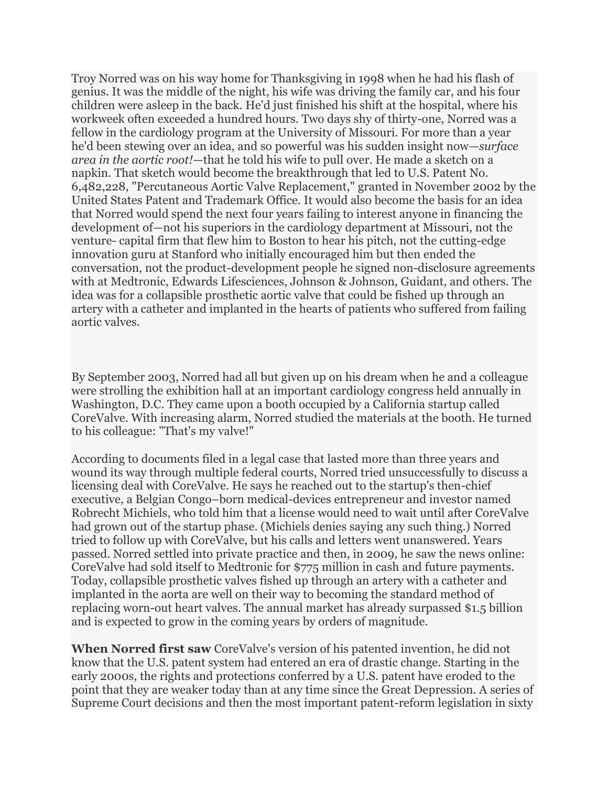Troy Norred was on his way home for Thanksgiving in 1998 when he had his flash of genius. It was the middle of the night, his wife was driving the family car, and his four children were asleep in the back. He'd just finished his shift at the hospital, where his workweek often exceeded a hundred hours. Two days shy of thirty-one, Norred was a fellow in the cardiology program at the University of Missouri. For more than a year he'd been stewing over an idea, and so powerful was his sudden insight now—*surface area in the aortic root!*—that he told his wife to pull over. He made a sketch on a napkin. That sketch would become the breakthrough that led to U.S. Patent No. 6,482,228, "Percutaneous Aortic Valve Replacement," granted in November 2002 by the United States Patent and Trademark Office. It would also become the basis for an idea that Norred would spend the next four years failing to interest anyone in financing the development of—not his superiors in the cardiology department at Missouri, not the venture- capital firm that flew him to Boston to hear his pitch, not the cutting-edge innovation guru at Stanford who initially encouraged him but then ended the conversation, not the product-development people he signed non-disclosure agreements with at Medtronic, Edwards Lifesciences, Johnson & Johnson, Guidant, and others. The idea was for a collapsible prosthetic aortic valve that could be fished up through an artery with a catheter and implanted in the hearts of patients who suffered from failing aortic valves.

By September 2003, Norred had all but given up on his dream when he and a colleague were strolling the exhibition hall at an important cardiology congress held annually in Washington, D.C. They came upon a booth occupied by a California startup called CoreValve. With increasing alarm, Norred studied the materials at the booth. He turned to his colleague: "That's my valve!"

According to documents filed in a legal case that lasted more than three years and wound its way through multiple federal courts, Norred tried unsuccessfully to discuss a licensing deal with CoreValve. He says he reached out to the startup's then-chief executive, a Belgian Congo–born medical-devices entrepreneur and investor named Robrecht Michiels, who told him that a license would need to wait until after CoreValve had grown out of the startup phase. (Michiels denies saying any such thing.) Norred tried to follow up with CoreValve, but his calls and letters went unanswered. Years passed. Norred settled into private practice and then, in 2009, he saw the news online: CoreValve had sold itself to Medtronic for \$775 million in cash and future payments. Today, collapsible prosthetic valves fished up through an artery with a catheter and implanted in the aorta are well on their way to becoming the standard method of replacing worn-out heart valves. The annual market has already surpassed \$1.5 billion and is expected to grow in the coming years by orders of magnitude.

**When Norred first saw** CoreValve's version of his patented invention, he did not know that the U.S. patent system had entered an era of drastic change. Starting in the early 2000s, the rights and protections conferred by a U.S. patent have eroded to the point that they are weaker today than at any time since the Great Depression. A series of Supreme Court decisions and then the most important patent-reform legislation in sixty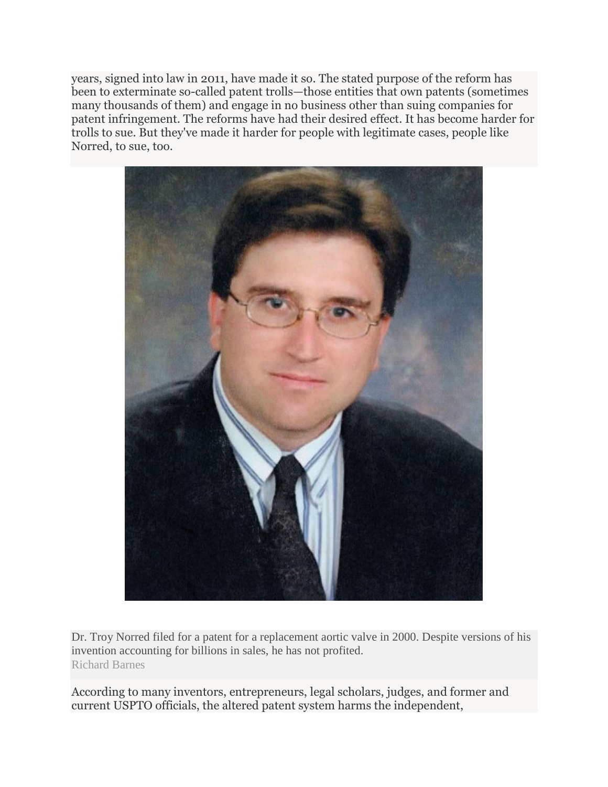years, signed into law in 2011, have made it so. The stated purpose of the reform has been to exterminate so-called patent trolls—those entities that own patents (sometimes many thousands of them) and engage in no business other than suing companies for patent infringement. The reforms have had their desired effect. It has become harder for trolls to sue. But they've made it harder for people with legitimate cases, people like Norred, to sue, too.



Dr. Troy Norred filed for a patent for a replacement aortic valve in 2000. Despite versions of his invention accounting for billions in sales, he has not profited. Richard Barnes

According to many inventors, entrepreneurs, legal scholars, judges, and former and current USPTO officials, the altered patent system harms the independent,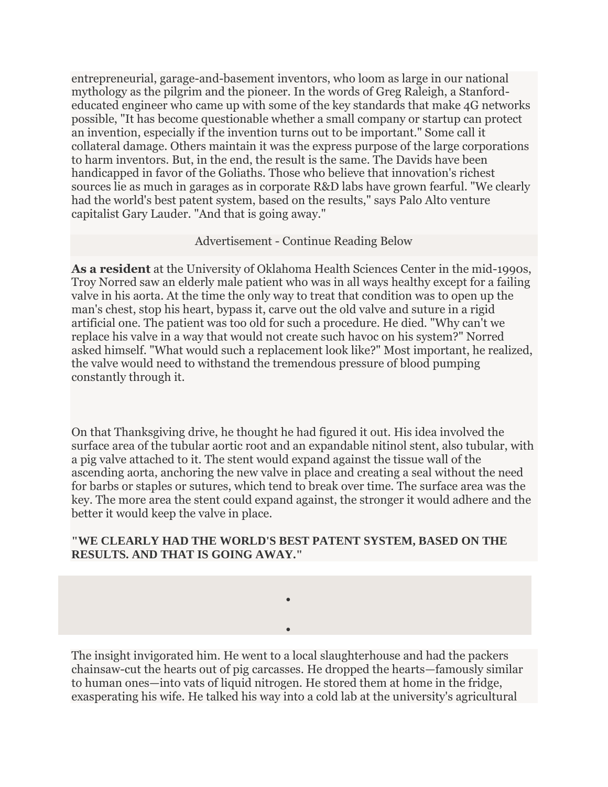entrepreneurial, garage-and-basement inventors, who loom as large in our national mythology as the pilgrim and the pioneer. In the words of Greg Raleigh, a Stanfordeducated engineer who came up with some of the key standards that make 4G networks possible, "It has become questionable whether a small company or startup can protect an invention, especially if the invention turns out to be important." Some call it collateral damage. Others maintain it was the express purpose of the large corporations to harm inventors. But, in the end, the result is the same. The Davids have been handicapped in favor of the Goliaths. Those who believe that innovation's richest sources lie as much in garages as in corporate R&D labs have grown fearful. "We clearly had the world's best patent system, based on the results," says Palo Alto venture capitalist Gary Lauder. "And that is going away."

## Advertisement - Continue Reading Below

**As a resident** at the University of Oklahoma Health Sciences Center in the mid-1990s, Troy Norred saw an elderly male patient who was in all ways healthy except for a failing valve in his aorta. At the time the only way to treat that condition was to open up the man's chest, stop his heart, bypass it, carve out the old valve and suture in a rigid artificial one. The patient was too old for such a procedure. He died. "Why can't we replace his valve in a way that would not create such havoc on his system?" Norred asked himself. "What would such a replacement look like?" Most important, he realized, the valve would need to withstand the tremendous pressure of blood pumping constantly through it.

On that Thanksgiving drive, he thought he had figured it out. His idea involved the surface area of the tubular aortic root and an expandable nitinol stent, also tubular, with a pig valve attached to it. The stent would expand against the tissue wall of the ascending aorta, anchoring the new valve in place and creating a seal without the need for barbs or staples or sutures, which tend to break over time. The surface area was the key. The more area the stent could expand against, the stronger it would adhere and the better it would keep the valve in place.

# **"WE CLEARLY HAD THE WORLD'S BEST PATENT SYSTEM, BASED ON THE RESULTS. AND THAT IS GOING AWAY."**

 $\bullet$ 

 $\bullet$ 

The insight invigorated him. He went to a local slaughterhouse and had the packers chainsaw-cut the hearts out of pig carcasses. He dropped the hearts—famously similar to human ones—into vats of liquid nitrogen. He stored them at home in the fridge, exasperating his wife. He talked his way into a cold lab at the university's agricultural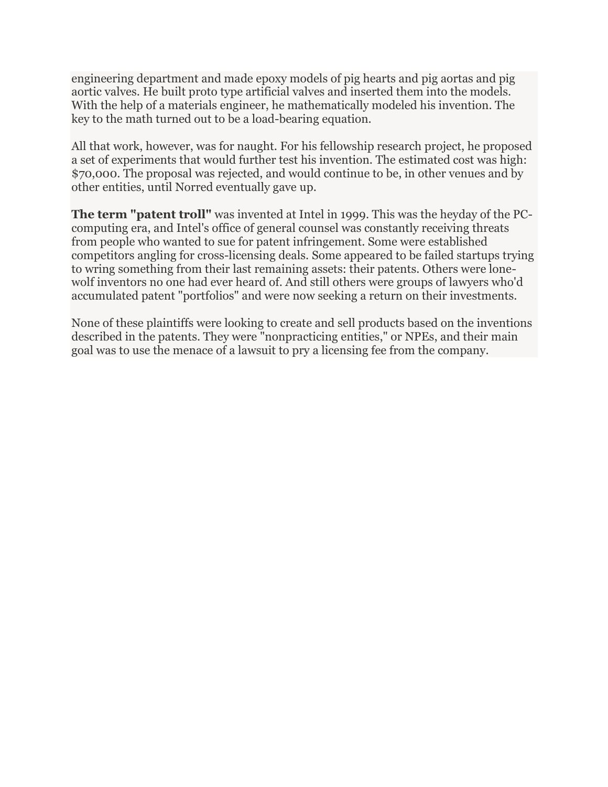engineering department and made epoxy models of pig hearts and pig aortas and pig aortic valves. He built proto type artificial valves and inserted them into the models. With the help of a materials engineer, he mathematically modeled his invention. The key to the math turned out to be a load-bearing equation.

All that work, however, was for naught. For his fellowship research project, he proposed a set of experiments that would further test his invention. The estimated cost was high: \$70,000. The proposal was rejected, and would continue to be, in other venues and by other entities, until Norred eventually gave up.

**The term "patent troll"** was invented at Intel in 1999. This was the heyday of the PCcomputing era, and Intel's office of general counsel was constantly receiving threats from people who wanted to sue for patent infringement. Some were established competitors angling for cross-licensing deals. Some appeared to be failed startups trying to wring something from their last remaining assets: their patents. Others were lonewolf inventors no one had ever heard of. And still others were groups of lawyers who'd accumulated patent "portfolios" and were now seeking a return on their investments.

None of these plaintiffs were looking to create and sell products based on the inventions described in the patents. They were "nonpracticing entities," or NPEs, and their main goal was to use the menace of a lawsuit to pry a licensing fee from the company.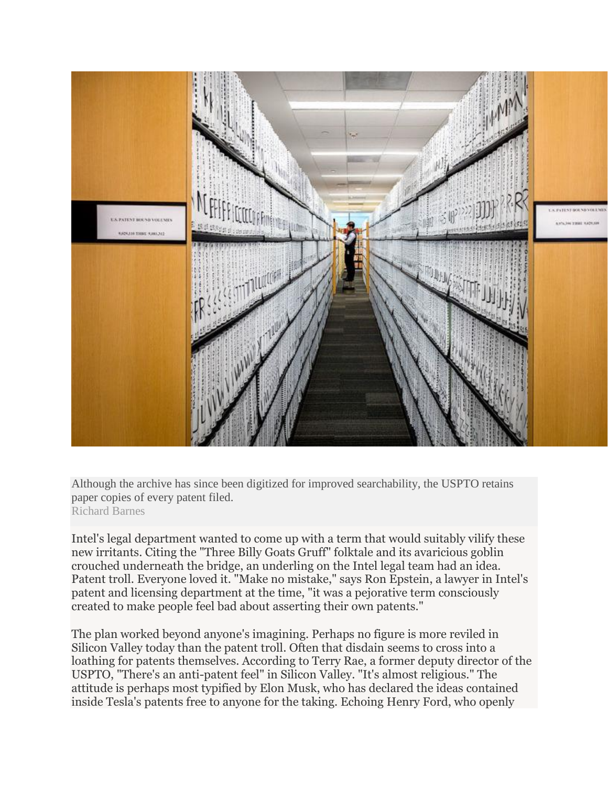

Although the archive has since been digitized for improved searchability, the USPTO retains paper copies of every patent filed. Richard Barnes

Intel's legal department wanted to come up with a term that would suitably vilify these new irritants. Citing the "Three Billy Goats Gruff" folktale and its avaricious goblin crouched underneath the bridge, an underling on the Intel legal team had an idea. Patent troll. Everyone loved it. "Make no mistake," says Ron Epstein, a lawyer in Intel's patent and licensing department at the time, "it was a pejorative term consciously created to make people feel bad about asserting their own patents."

The plan worked beyond anyone's imagining. Perhaps no figure is more reviled in Silicon Valley today than the patent troll. Often that disdain seems to cross into a loathing for patents themselves. According to Terry Rae, a former deputy director of the USPTO, "There's an anti-patent feel" in Silicon Valley. "It's almost religious." The attitude is perhaps most typified by Elon Musk, who has declared the ideas contained inside Tesla's patents free to anyone for the taking. Echoing Henry Ford, who openly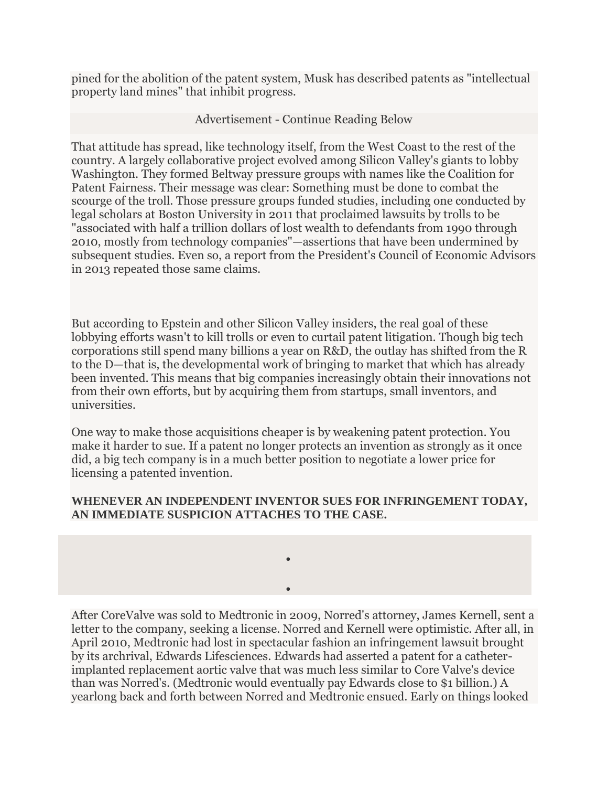pined for the abolition of the patent system, Musk has described patents as "intellectual property land mines" that inhibit progress.

Advertisement - Continue Reading Below

That attitude has spread, like technology itself, from the West Coast to the rest of the country. A largely collaborative project evolved among Silicon Valley's giants to lobby Washington. They formed Beltway pressure groups with names like the Coalition for Patent Fairness. Their message was clear: Something must be done to combat the scourge of the troll. Those pressure groups funded studies, including one conducted by legal scholars at Boston University in 2011 that proclaimed lawsuits by trolls to be "associated with half a trillion dollars of lost wealth to defendants from 1990 through 2010, mostly from technology companies"—assertions that have been undermined by subsequent studies. Even so, a report from the President's Council of Economic Advisors in 2013 repeated those same claims.

But according to Epstein and other Silicon Valley insiders, the real goal of these lobbying efforts wasn't to kill trolls or even to curtail patent litigation. Though big tech corporations still spend many billions a year on R&D, the outlay has shifted from the R to the D—that is, the developmental work of bringing to market that which has already been invented. This means that big companies increasingly obtain their innovations not from their own efforts, but by acquiring them from startups, small inventors, and universities.

One way to make those acquisitions cheaper is by weakening patent protection. You make it harder to sue. If a patent no longer protects an invention as strongly as it once did, a big tech company is in a much better position to negotiate a lower price for licensing a patented invention.

# **WHENEVER AN INDEPENDENT INVENTOR SUES FOR INFRINGEMENT TODAY, AN IMMEDIATE SUSPICION ATTACHES TO THE CASE.**

 $\bullet$ 

 $\bullet$ 

After CoreValve was sold to Medtronic in 2009, Norred's attorney, James Kernell, sent a letter to the company, seeking a license. Norred and Kernell were optimistic. After all, in April 2010, Medtronic had lost in spectacular fashion an infringement lawsuit brought by its archrival, Edwards Lifesciences. Edwards had asserted a patent for a catheterimplanted replacement aortic valve that was much less similar to Core Valve's device than was Norred's. (Medtronic would eventually pay Edwards close to \$1 billion.) A yearlong back and forth between Norred and Medtronic ensued. Early on things looked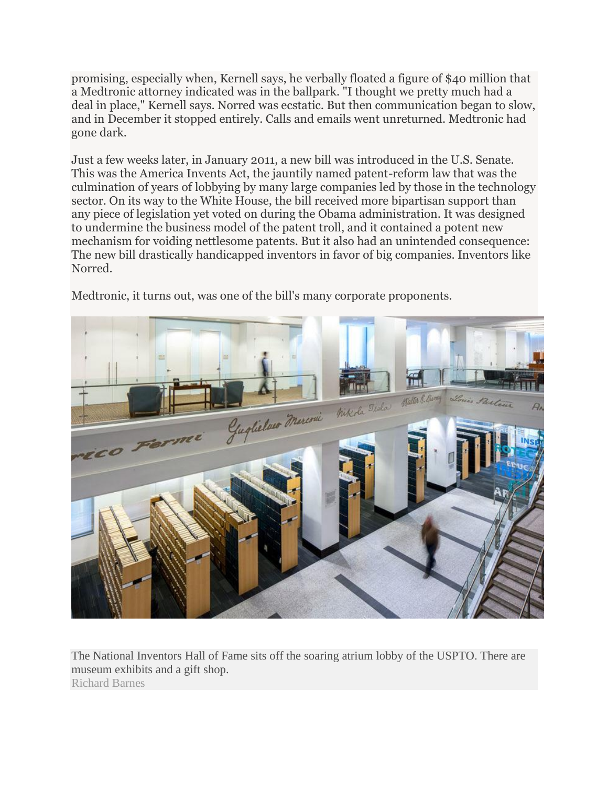promising, especially when, Kernell says, he verbally floated a figure of \$40 million that a Medtronic attorney indicated was in the ballpark. "I thought we pretty much had a deal in place," Kernell says. Norred was ecstatic. But then communication began to slow, and in December it stopped entirely. Calls and emails went unreturned. Medtronic had gone dark.

Just a few weeks later, in January 2011, a new bill was introduced in the U.S. Senate. This was the America Invents Act, the jauntily named patent-reform law that was the culmination of years of lobbying by many large companies led by those in the technology sector. On its way to the White House, the bill received more bipartisan support than any piece of legislation yet voted on during the Obama administration. It was designed to undermine the business model of the patent troll, and it contained a potent new mechanism for voiding nettlesome patents. But it also had an unintended consequence: The new bill drastically handicapped inventors in favor of big companies. Inventors like Norred.

Medtronic, it turns out, was one of the bill's many corporate proponents.



The National Inventors Hall of Fame sits off the soaring atrium lobby of the USPTO. There are museum exhibits and a gift shop. Richard Barnes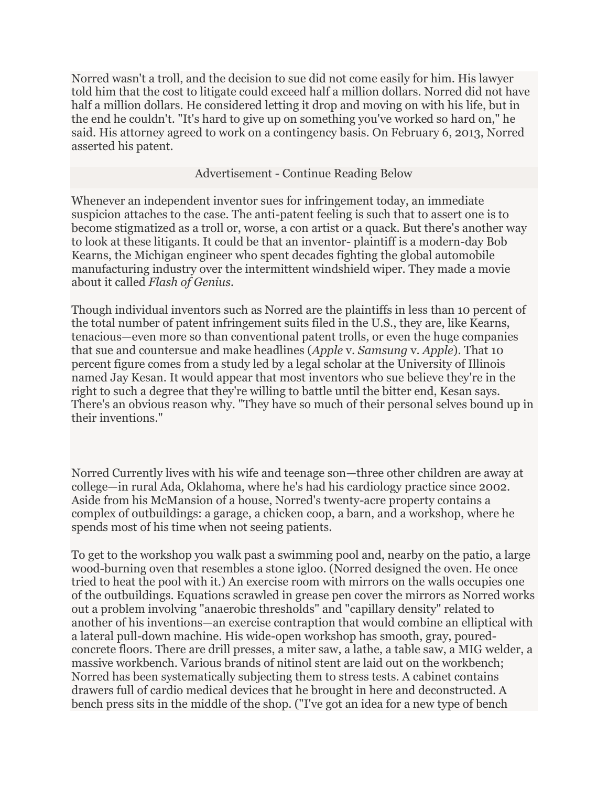Norred wasn't a troll, and the decision to sue did not come easily for him. His lawyer told him that the cost to litigate could exceed half a million dollars. Norred did not have half a million dollars. He considered letting it drop and moving on with his life, but in the end he couldn't. "It's hard to give up on something you've worked so hard on," he said. His attorney agreed to work on a contingency basis. On February 6, 2013, Norred asserted his patent.

### Advertisement - Continue Reading Below

Whenever an independent inventor sues for infringement today, an immediate suspicion attaches to the case. The anti-patent feeling is such that to assert one is to become stigmatized as a troll or, worse, a con artist or a quack. But there's another way to look at these litigants. It could be that an inventor- plaintiff is a modern-day Bob Kearns, the Michigan engineer who spent decades fighting the global automobile manufacturing industry over the intermittent windshield wiper. They made a movie about it called *Flash of Genius.*

Though individual inventors such as Norred are the plaintiffs in less than 10 percent of the total number of patent infringement suits filed in the U.S., they are, like Kearns, tenacious—even more so than conventional patent trolls, or even the huge companies that sue and countersue and make headlines (*Apple* v. *Samsung* v. *Apple*). That 10 percent figure comes from a study led by a legal scholar at the University of Illinois named Jay Kesan. It would appear that most inventors who sue believe they're in the right to such a degree that they're willing to battle until the bitter end, Kesan says. There's an obvious reason why. "They have so much of their personal selves bound up in their inventions."

Norred Currently lives with his wife and teenage son—three other children are away at college—in rural Ada, Oklahoma, where he's had his cardiology practice since 2002. Aside from his McMansion of a house, Norred's twenty-acre property contains a complex of outbuildings: a garage, a chicken coop, a barn, and a workshop, where he spends most of his time when not seeing patients.

To get to the workshop you walk past a swimming pool and, nearby on the patio, a large wood-burning oven that resembles a stone igloo. (Norred designed the oven. He once tried to heat the pool with it.) An exercise room with mirrors on the walls occupies one of the outbuildings. Equations scrawled in grease pen cover the mirrors as Norred works out a problem involving "anaerobic thresholds" and "capillary density" related to another of his inventions—an exercise contraption that would combine an elliptical with a lateral pull-down machine. His wide-open workshop has smooth, gray, pouredconcrete floors. There are drill presses, a miter saw, a lathe, a table saw, a MIG welder, a massive workbench. Various brands of nitinol stent are laid out on the workbench; Norred has been systematically subjecting them to stress tests. A cabinet contains drawers full of cardio medical devices that he brought in here and deconstructed. A bench press sits in the middle of the shop. ("I've got an idea for a new type of bench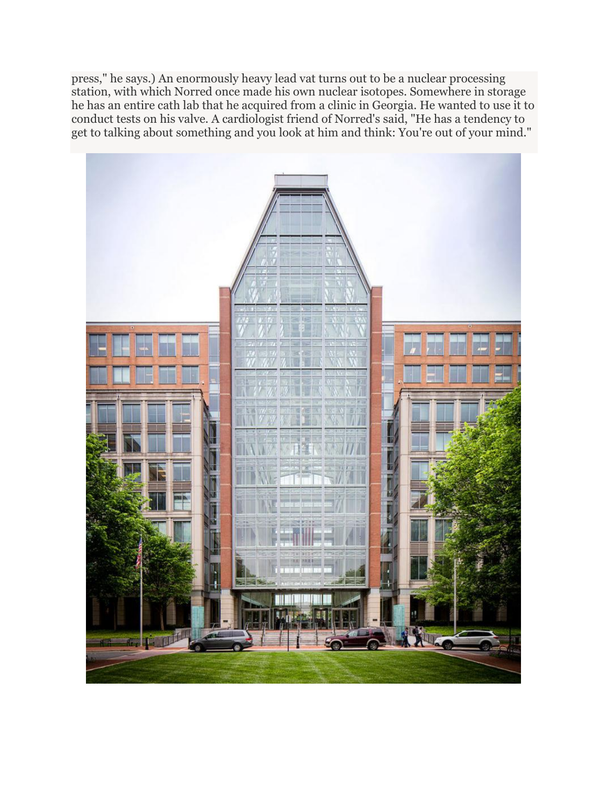press," he says.) An enormously heavy lead vat turns out to be a nuclear processing station, with which Norred once made his own nuclear isotopes. Somewhere in storage he has an entire cath lab that he acquired from a clinic in Georgia. He wanted to use it to conduct tests on his valve. A cardiologist friend of Norred's said, "He has a tendency to get to talking about something and you look at him and think: You're out of your mind."

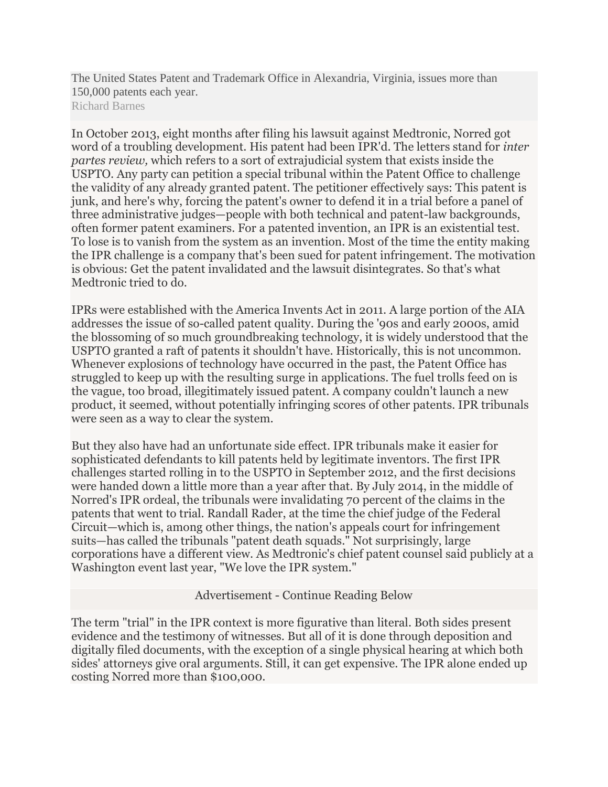The United States Patent and Trademark Office in Alexandria, Virginia, issues more than 150,000 patents each year. Richard Barnes

In October 2013, eight months after filing his lawsuit against Medtronic, Norred got word of a troubling development. His patent had been IPR'd. The letters stand for *inter partes review,* which refers to a sort of extrajudicial system that exists inside the USPTO. Any party can petition a special tribunal within the Patent Office to challenge the validity of any already granted patent. The petitioner effectively says: This patent is junk, and here's why, forcing the patent's owner to defend it in a trial before a panel of three administrative judges—people with both technical and patent-law backgrounds, often former patent examiners. For a patented invention, an IPR is an existential test. To lose is to vanish from the system as an invention. Most of the time the entity making the IPR challenge is a company that's been sued for patent infringement. The motivation is obvious: Get the patent invalidated and the lawsuit disintegrates. So that's what Medtronic tried to do.

IPRs were established with the America Invents Act in 2011. A large portion of the AIA addresses the issue of so-called patent quality. During the '90s and early 2000s, amid the blossoming of so much groundbreaking technology, it is widely understood that the USPTO granted a raft of patents it shouldn't have. Historically, this is not uncommon. Whenever explosions of technology have occurred in the past, the Patent Office has struggled to keep up with the resulting surge in applications. The fuel trolls feed on is the vague, too broad, illegitimately issued patent. A company couldn't launch a new product, it seemed, without potentially infringing scores of other patents. IPR tribunals were seen as a way to clear the system.

But they also have had an unfortunate side effect. IPR tribunals make it easier for sophisticated defendants to kill patents held by legitimate inventors. The first IPR challenges started rolling in to the USPTO in September 2012, and the first decisions were handed down a little more than a year after that. By July 2014, in the middle of Norred's IPR ordeal, the tribunals were invalidating 70 percent of the claims in the patents that went to trial. Randall Rader, at the time the chief judge of the Federal Circuit—which is, among other things, the nation's appeals court for infringement suits—has called the tribunals "patent death squads." Not surprisingly, large corporations have a different view. As Medtronic's chief patent counsel said publicly at a Washington event last year, "We love the IPR system."

Advertisement - Continue Reading Below

The term "trial" in the IPR context is more figurative than literal. Both sides present evidence and the testimony of witnesses. But all of it is done through deposition and digitally filed documents, with the exception of a single physical hearing at which both sides' attorneys give oral arguments. Still, it can get expensive. The IPR alone ended up costing Norred more than \$100,000.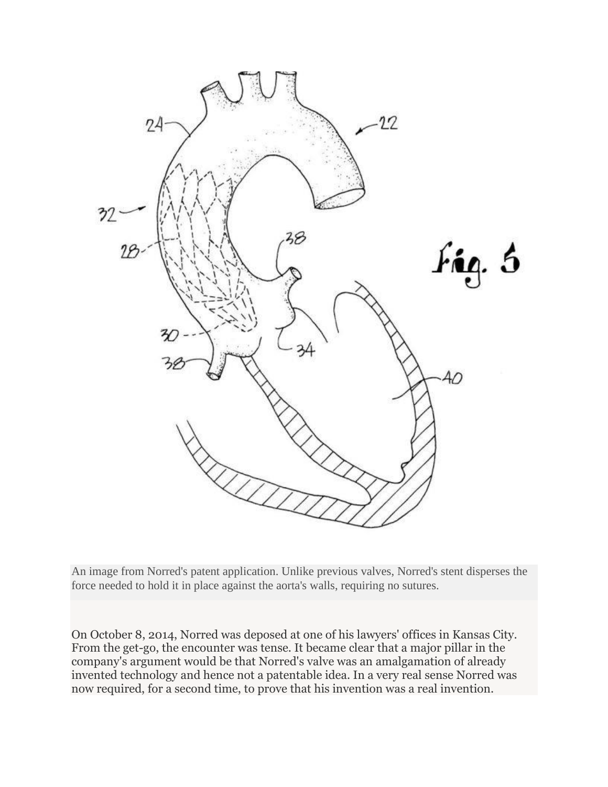

An image from Norred's patent application. Unlike previous valves, Norred's stent disperses the force needed to hold it in place against the aorta's walls, requiring no sutures.

On October 8, 2014, Norred was deposed at one of his lawyers' offices in Kansas City. From the get-go, the encounter was tense. It became clear that a major pillar in the company's argument would be that Norred's valve was an amalgamation of already invented technology and hence not a patentable idea. In a very real sense Norred was now required, for a second time, to prove that his invention was a real invention.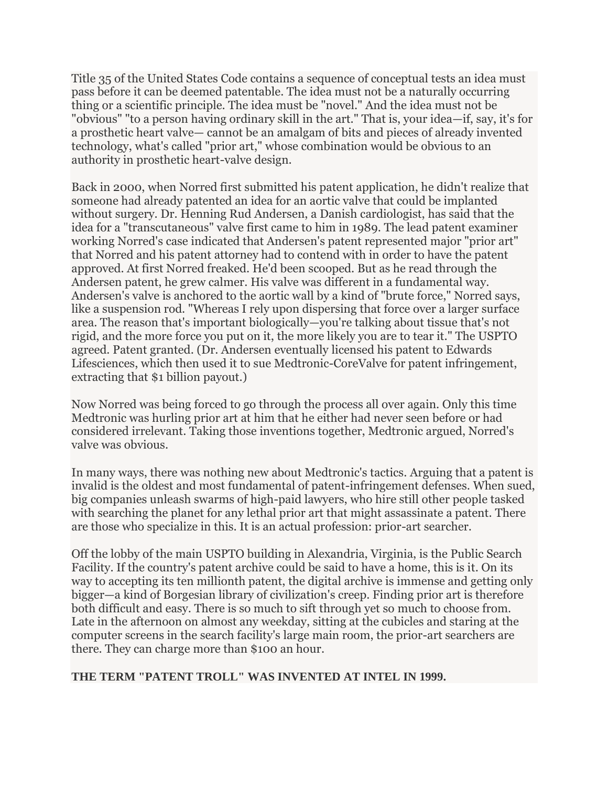Title 35 of the United States Code contains a sequence of conceptual tests an idea must pass before it can be deemed patentable. The idea must not be a naturally occurring thing or a scientific principle. The idea must be "novel." And the idea must not be "obvious" "to a person having ordinary skill in the art." That is, your idea—if, say, it's for a prosthetic heart valve— cannot be an amalgam of bits and pieces of already invented technology, what's called "prior art," whose combination would be obvious to an authority in prosthetic heart-valve design.

Back in 2000, when Norred first submitted his patent application, he didn't realize that someone had already patented an idea for an aortic valve that could be implanted without surgery. Dr. Henning Rud Andersen, a Danish cardiologist, has said that the idea for a "transcutaneous" valve first came to him in 1989. The lead patent examiner working Norred's case indicated that Andersen's patent represented major "prior art" that Norred and his patent attorney had to contend with in order to have the patent approved. At first Norred freaked. He'd been scooped. But as he read through the Andersen patent, he grew calmer. His valve was different in a fundamental way. Andersen's valve is anchored to the aortic wall by a kind of "brute force," Norred says, like a suspension rod. "Whereas I rely upon dispersing that force over a larger surface area. The reason that's important biologically—you're talking about tissue that's not rigid, and the more force you put on it, the more likely you are to tear it." The USPTO agreed. Patent granted. (Dr. Andersen eventually licensed his patent to Edwards Lifesciences, which then used it to sue Medtronic-CoreValve for patent infringement, extracting that \$1 billion payout.)

Now Norred was being forced to go through the process all over again. Only this time Medtronic was hurling prior art at him that he either had never seen before or had considered irrelevant. Taking those inventions together, Medtronic argued, Norred's valve was obvious.

In many ways, there was nothing new about Medtronic's tactics. Arguing that a patent is invalid is the oldest and most fundamental of patent-infringement defenses. When sued, big companies unleash swarms of high-paid lawyers, who hire still other people tasked with searching the planet for any lethal prior art that might assassinate a patent. There are those who specialize in this. It is an actual profession: prior-art searcher.

Off the lobby of the main USPTO building in Alexandria, Virginia, is the Public Search Facility. If the country's patent archive could be said to have a home, this is it. On its way to accepting its ten millionth patent, the digital archive is immense and getting only bigger—a kind of Borgesian library of civilization's creep. Finding prior art is therefore both difficult and easy. There is so much to sift through yet so much to choose from. Late in the afternoon on almost any weekday, sitting at the cubicles and staring at the computer screens in the search facility's large main room, the prior-art searchers are there. They can charge more than \$100 an hour.

# **THE TERM "PATENT TROLL" WAS INVENTED AT INTEL IN 1999.**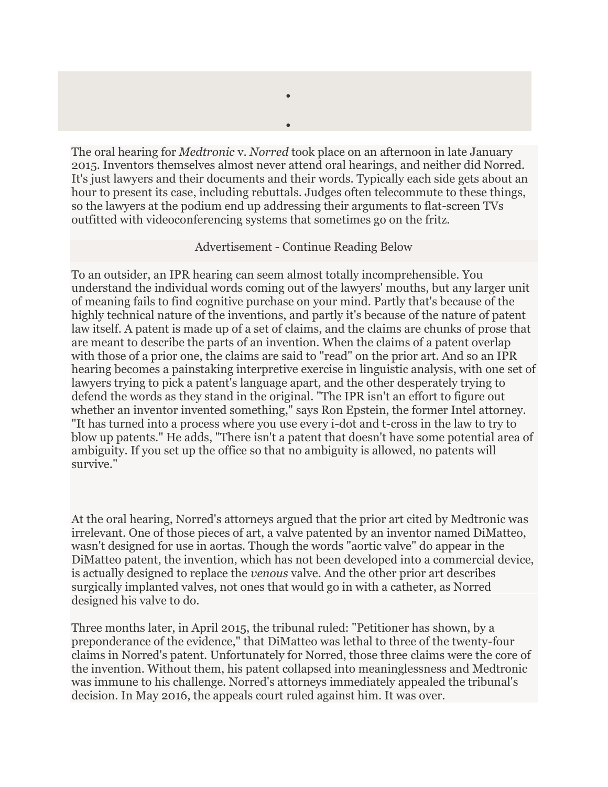The oral hearing for *Medtronic* v. *Norred* took place on an afternoon in late January 2015. Inventors themselves almost never attend oral hearings, and neither did Norred. It's just lawyers and their documents and their words. Typically each side gets about an hour to present its case, including rebuttals. Judges often telecommute to these things, so the lawyers at the podium end up addressing their arguments to flat-screen TVs outfitted with videoconferencing systems that sometimes go on the fritz.

 $\bullet$ 

 $\bullet$ 

#### Advertisement - Continue Reading Below

To an outsider, an IPR hearing can seem almost totally incomprehensible. You understand the individual words coming out of the lawyers' mouths, but any larger unit of meaning fails to find cognitive purchase on your mind. Partly that's because of the highly technical nature of the inventions, and partly it's because of the nature of patent law itself. A patent is made up of a set of claims, and the claims are chunks of prose that are meant to describe the parts of an invention. When the claims of a patent overlap with those of a prior one, the claims are said to "read" on the prior art. And so an IPR hearing becomes a painstaking interpretive exercise in linguistic analysis, with one set of lawyers trying to pick a patent's language apart, and the other desperately trying to defend the words as they stand in the original. "The IPR isn't an effort to figure out whether an inventor invented something," says Ron Epstein, the former Intel attorney. "It has turned into a process where you use every i-dot and t-cross in the law to try to blow up patents." He adds, "There isn't a patent that doesn't have some potential area of ambiguity. If you set up the office so that no ambiguity is allowed, no patents will survive."

At the oral hearing, Norred's attorneys argued that the prior art cited by Medtronic was irrelevant. One of those pieces of art, a valve patented by an inventor named DiMatteo, wasn't designed for use in aortas. Though the words "aortic valve" do appear in the DiMatteo patent, the invention, which has not been developed into a commercial device, is actually designed to replace the *venous* valve. And the other prior art describes surgically implanted valves, not ones that would go in with a catheter, as Norred designed his valve to do.

Three months later, in April 2015, the tribunal ruled: "Petitioner has shown, by a preponderance of the evidence," that DiMatteo was lethal to three of the twenty-four claims in Norred's patent. Unfortunately for Norred, those three claims were the core of the invention. Without them, his patent collapsed into meaninglessness and Medtronic was immune to his challenge. Norred's attorneys immediately appealed the tribunal's decision. In May 2016, the appeals court ruled against him. It was over.